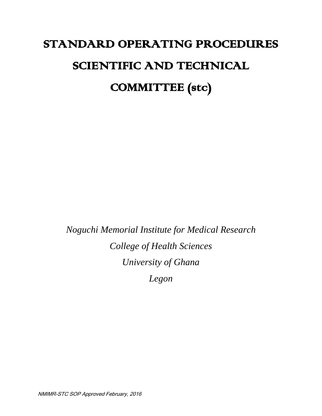# STANDARD OPERATING PROCEDURES SCIENTIFIC AND TECHNICAL COMMITTEE (stc)

*Noguchi Memorial Institute for Medical Research College of Health Sciences University of Ghana Legon*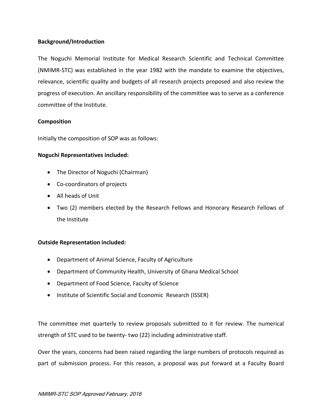## **Background/Introduction**

The Noguchi Memorial Institute for Medical Research Scientific and Technical Committee (NMIMR-STC) was established in the year 1982 with the mandate to examine the objectives, relevance, scientific quality and budgets of all research projects proposed and also review the progress of execution. An ancillary responsibility of the committee was to serve as a conference committee of the Institute.

## **Composition**

Initially the composition of SOP was as follows:

#### **Noguchi Representatives included:**

- The Director of Noguchi (Chairman)
- Co-coordinators of projects
- All heads of Unit
- Two (2) members elected by the Research Fellows and Honorary Research Fellows of the Institute

#### **Outside Representation included:**

- Department of Animal Science, Faculty of Agriculture
- Department of Community Health, University of Ghana Medical School
- Department of Food Science, Faculty of Science
- Institute of Scientific Social and Economic Research (ISSER)

The committee met quarterly to review proposals submitted to it for review. The numerical strength of STC used to be twenty- two (22) including administrative staff.

Over the years, concerns had been raised regarding the large numbers of protocols required as part of submission process. For this reason, a proposal was put forward at a Faculty Board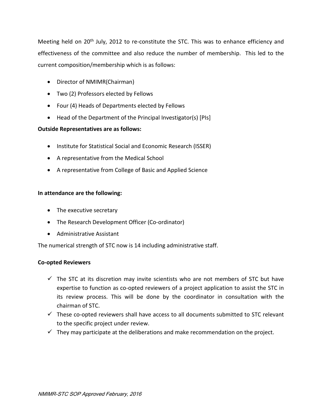Meeting held on 20th July, 2012 to re-constitute the STC. This was to enhance efficiency and effectiveness of the committee and also reduce the number of membership. This led to the current composition/membership which is as follows:

- Director of NMIMR(Chairman)
- Two (2) Professors elected by Fellows
- Four (4) Heads of Departments elected by Fellows
- Head of the Department of the Principal Investigator(s) [PIs]

## **Outside Representatives are as follows:**

- Institute for Statistical Social and Economic Research (ISSER)
- A representative from the Medical School
- A representative from College of Basic and Applied Science

## **In attendance are the following:**

- The executive secretary
- The Research Development Officer (Co-ordinator)
- Administrative Assistant

The numerical strength of STC now is 14 including administrative staff.

## **Co-opted Reviewers**

- $\checkmark$  The STC at its discretion may invite scientists who are not members of STC but have expertise to function as co-opted reviewers of a project application to assist the STC in its review process. This will be done by the coordinator in consultation with the chairman of STC.
- $\checkmark$  These co-opted reviewers shall have access to all documents submitted to STC relevant to the specific project under review.
- $\checkmark$  They may participate at the deliberations and make recommendation on the project.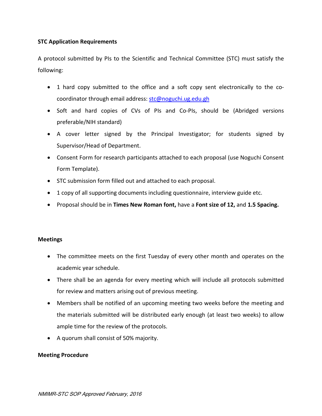## **STC Application Requirements**

A protocol submitted by PIs to the Scientific and Technical Committee (STC) must satisfy the following:

- 1 hard copy submitted to the office and a soft copy sent electronically to the cocoordinator through email address: [stc@noguchi.ug.edu.gh](mailto:stc@noguchi.ug.edu.gh)
- Soft and hard copies of CVs of PIs and Co-PIs, should be (Abridged versions preferable/NIH standard)
- A cover letter signed by the Principal Investigator; for students signed by Supervisor/Head of Department.
- Consent Form for research participants attached to each proposal (use Noguchi Consent Form Template).
- STC submission form filled out and attached to each proposal.
- 1 copy of all supporting documents including questionnaire, interview guide etc.
- Proposal should be in **Times New Roman font,** have a **Font size of 12,** and **1.5 Spacing.**

## **Meetings**

- The committee meets on the first Tuesday of every other month and operates on the academic year schedule.
- There shall be an agenda for every meeting which will include all protocols submitted for review and matters arising out of previous meeting.
- Members shall be notified of an upcoming meeting two weeks before the meeting and the materials submitted will be distributed early enough (at least two weeks) to allow ample time for the review of the protocols.
- A quorum shall consist of 50% majority.

## **Meeting Procedure**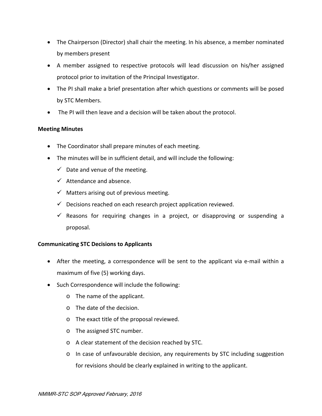- The Chairperson (Director) shall chair the meeting. In his absence, a member nominated by members present
- A member assigned to respective protocols will lead discussion on his/her assigned protocol prior to invitation of the Principal Investigator.
- The PI shall make a brief presentation after which questions or comments will be posed by STC Members.
- The PI will then leave and a decision will be taken about the protocol.

## **Meeting Minutes**

- The Coordinator shall prepare minutes of each meeting.
- The minutes will be in sufficient detail, and will include the following:
	- $\checkmark$  Date and venue of the meeting.
	- $\checkmark$  Attendance and absence.
	- $\checkmark$  Matters arising out of previous meeting.
	- $\checkmark$  Decisions reached on each research project application reviewed.
	- $\checkmark$  Reasons for requiring changes in a project, or disapproving or suspending a proposal.

## **Communicating STC Decisions to Applicants**

- After the meeting, a correspondence will be sent to the applicant via e-mail within a maximum of five (5) working days.
- Such Correspondence will include the following:
	- o The name of the applicant.
	- o The date of the decision.
	- o The exact title of the proposal reviewed.
	- o The assigned STC number.
	- o A clear statement of the decision reached by STC.
	- o In case of unfavourable decision, any requirements by STC including suggestion for revisions should be clearly explained in writing to the applicant.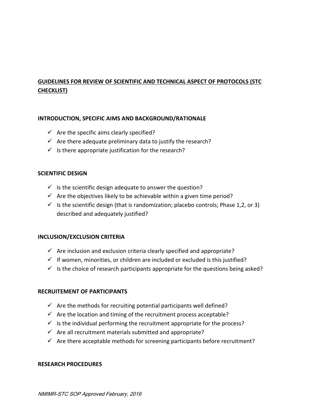## **GUIDELINES FOR REVIEW OF SCIENTIFIC AND TECHNICAL ASPECT OF PROTOCOLS (STC CHECKLIST)**

## **INTRODUCTION, SPECIFIC AIMS AND BACKGROUND/RATIONALE**

- $\checkmark$  Are the specific aims clearly specified?
- $\checkmark$  Are there adequate preliminary data to justify the research?
- $\checkmark$  Is there appropriate justification for the research?

## **SCIENTIFIC DESIGN**

- $\checkmark$  Is the scientific design adequate to answer the question?
- $\checkmark$  Are the objectives likely to be achievable within a given time period?
- $\checkmark$  Is the scientific design (that is randomization; placebo controls; Phase 1,2, or 3) described and adequately justified?

## **INCLUSION/EXCLUSION CRITERIA**

- $\checkmark$  Are inclusion and exclusion criteria clearly specified and appropriate?
- $\checkmark$  If women, minorities, or children are included or excluded is this justified?
- $\checkmark$  Is the choice of research participants appropriate for the questions being asked?

## **RECRUITEMENT OF PARTICIPANTS**

- $\checkmark$  Are the methods for recruiting potential participants well defined?
- $\checkmark$  Are the location and timing of the recruitment process acceptable?
- $\checkmark$  Is the individual performing the recruitment appropriate for the process?
- $\checkmark$  Are all recruitment materials submitted and appropriate?
- $\checkmark$  Are there acceptable methods for screening participants before recruitment?

#### **RESEARCH PROCEDURES**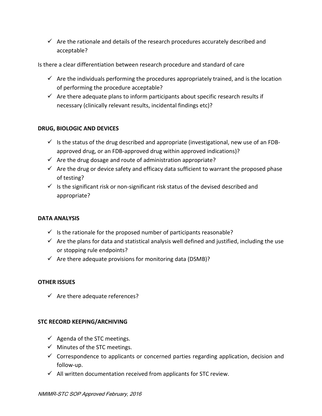$\checkmark$  Are the rationale and details of the research procedures accurately described and acceptable?

Is there a clear differentiation between research procedure and standard of care

- $\checkmark$  Are the individuals performing the procedures appropriately trained, and is the location of performing the procedure acceptable?
- $\checkmark$  Are there adequate plans to inform participants about specific research results if necessary (clinically relevant results, incidental findings etc)?

## **DRUG, BIOLOGIC AND DEVICES**

- $\checkmark$  is the status of the drug described and appropriate (investigational, new use of an FDBapproved drug, or an FDB-approved drug within approved indications)?
- $\checkmark$  Are the drug dosage and route of administration appropriate?
- $\checkmark$  Are the drug or device safety and efficacy data sufficient to warrant the proposed phase of testing?
- $\checkmark$  Is the significant risk or non-significant risk status of the devised described and appropriate?

## **DATA ANALYSIS**

- $\checkmark$  is the rationale for the proposed number of participants reasonable?
- $\checkmark$  Are the plans for data and statistical analysis well defined and justified, including the use or stopping rule endpoints?
- $\checkmark$  Are there adequate provisions for monitoring data (DSMB)?

## **OTHER ISSUES**

 $\checkmark$  Are there adequate references?

## **STC RECORD KEEPING/ARCHIVING**

- $\checkmark$  Agenda of the STC meetings.
- $\checkmark$  Minutes of the STC meetings.
- $\checkmark$  Correspondence to applicants or concerned parties regarding application, decision and follow-up.
- $\checkmark$  All written documentation received from applicants for STC review.